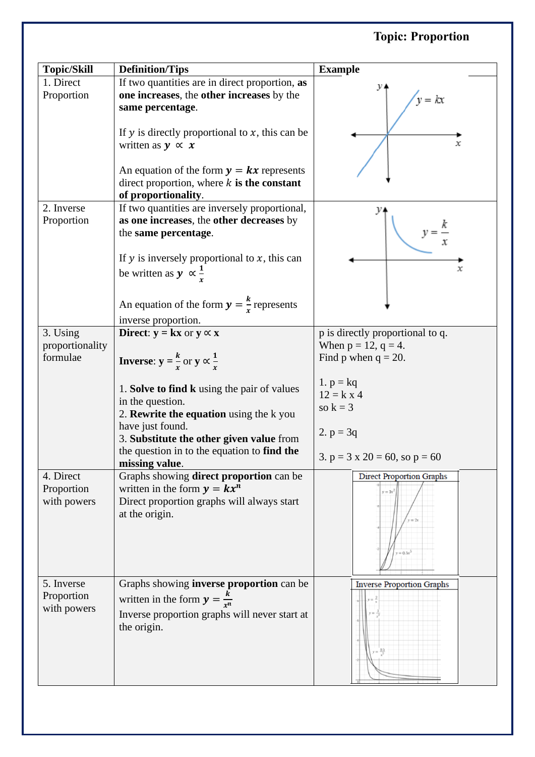## **Topic: Proportion**

| <b>Topic/Skill</b>                      | <b>Definition/Tips</b>                                                                                                                                     | <b>Example</b>                                                |
|-----------------------------------------|------------------------------------------------------------------------------------------------------------------------------------------------------------|---------------------------------------------------------------|
| 1. Direct<br>Proportion                 | If two quantities are in direct proportion, as<br>one increases, the other increases by the<br>same percentage.                                            | $v = kx$                                                      |
|                                         | If $y$ is directly proportional to $x$ , this can be<br>written as $y \propto x$                                                                           | х                                                             |
|                                         | An equation of the form $y = kx$ represents<br>direct proportion, where $k$ is the constant<br>of proportionality.                                         |                                                               |
| 2. Inverse<br>Proportion                | If two quantities are inversely proportional,<br>as one increases, the other decreases by<br>the same percentage.                                          |                                                               |
|                                         | If $y$ is inversely proportional to $x$ , this can<br>be written as $y \propto \frac{1}{r}$                                                                | x                                                             |
|                                         | An equation of the form $y = \frac{k}{r}$ represents<br>inverse proportion.                                                                                |                                                               |
| 3. Using                                | <b>Direct:</b> $y = kx$ or $y \propto x$                                                                                                                   | p is directly proportional to q.                              |
| proportionality<br>formulae             | <b>Inverse:</b> $y = \frac{k}{r}$ or $y \propto \frac{1}{r}$                                                                                               | When $p = 12$ , $q = 4$ .<br>Find p when $q = 20$ .           |
|                                         | 1. Solve to find k using the pair of values<br>in the question.<br>2. Rewrite the equation using the k you<br>have just found.                             | 1. $p = kq$<br>$12 = k \times 4$<br>so $k = 3$<br>2. $p = 3q$ |
|                                         | 3. Substitute the other given value from<br>the question in to the equation to find the<br>missing value.                                                  | 3. $p = 3 \times 20 = 60$ , so $p = 60$                       |
| 4. Direct<br>Proportion<br>with powers  | Graphs showing <b>direct proportion</b> can be<br>written in the form $y = kx^n$<br>Direct proportion graphs will always start<br>at the origin.           | <b>Direct Proportion Graphs</b><br>$y = 3x^2$<br>$r = 0.5x^5$ |
| 5. Inverse<br>Proportion<br>with powers | Graphs showing <b>inverse proportion</b> can be<br>written in the form $y = \frac{k}{r^n}$<br>Inverse proportion graphs will never start at<br>the origin. | <b>Inverse Proportion Graphs</b>                              |